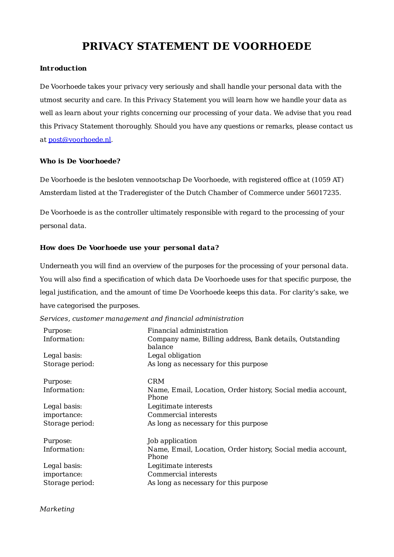# **PRIVACY STATEMENT DE VOORHOEDE**

## **Introduction**

De Voorhoede takes your privacy very seriously and shall handle your personal data with the utmost security and care. In this Privacy Statement you will learn how we handle your data as well as learn about your rights concerning our processing of your data. We advise that you read this Privacy Statement thoroughly. Should you have any questions or remarks, please contact us at [post@voorhoede.nl](mailto:post@voorhoede.nl).

### **Who is De Voorhoede?**

De Voorhoede is the besloten vennootschap De Voorhoede, with registered office at (1059 AT) Amsterdam listed at the Traderegister of the Dutch Chamber of Commerce under 56017235.

De Voorhoede is as the controller ultimately responsible with regard to the processing of your personal data.

## **How does De Voorhoede use your personal data?**

Underneath you will find an overview of the purposes for the processing of your personal data. You will also find a specification of which data De Voorhoede uses for that specific purpose, the legal justification, and the amount of time De Voorhoede keeps this data. For clarity's sake, we have categorised the purposes.

*Services, customer management and financial administration*

| Purpose:<br>Information: | Financial administration<br>Company name, Billing address, Bank details, Outstanding<br>balance |
|--------------------------|-------------------------------------------------------------------------------------------------|
| Legal basis:             | Legal obligation                                                                                |
| Storage period:          | As long as necessary for this purpose                                                           |
| Purpose:                 | <b>CRM</b>                                                                                      |
| Information:             | Name, Email, Location, Order history, Social media account,<br>Phone                            |
| Legal basis:             | Legitimate interests                                                                            |
| importance:              | Commercial interests                                                                            |
| Storage period:          | As long as necessary for this purpose                                                           |
| Purpose:                 | Job application                                                                                 |
| Information:             | Name, Email, Location, Order history, Social media account,<br>Phone                            |
| Legal basis:             | Legitimate interests                                                                            |
| importance:              | Commercial interests                                                                            |
| Storage period:          | As long as necessary for this purpose                                                           |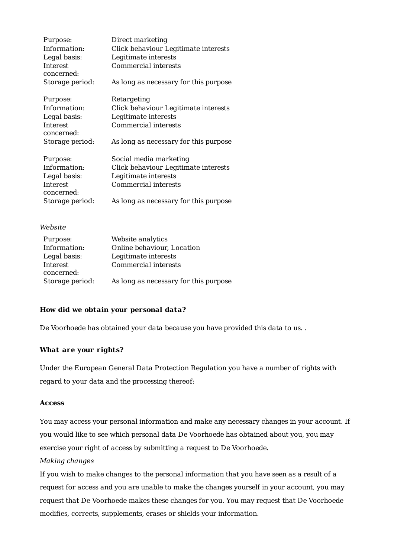| Purpose:               | Direct marketing                      |
|------------------------|---------------------------------------|
| Information:           | Click behaviour Legitimate interests  |
| Legal basis:           | Legitimate interests                  |
| Interest               | Commercial interests                  |
| concerned:             |                                       |
| Storage period:        | As long as necessary for this purpose |
| Purpose:               | Retargeting                           |
| Information:           | Click behaviour Legitimate interests  |
| Legal basis:           | Legitimate interests                  |
| Interest               | Commercial interests                  |
| concerned:             |                                       |
| Storage period:        | As long as necessary for this purpose |
| Purpose:               | Social media marketing                |
| Information:           | Click behaviour Legitimate interests  |
| Legal basis:           | Legitimate interests                  |
| Interest<br>concerned: | Commercial interests                  |
| Storage period:        | As long as necessary for this purpose |

### *Website*

| Purpose:        | Website analytics                     |
|-----------------|---------------------------------------|
| Information:    | Online behaviour, Location            |
| Legal basis:    | Legitimate interests                  |
| Interest        | Commercial interests                  |
| concerned:      |                                       |
| Storage period: | As long as necessary for this purpose |

## **How did we obtain your personal data?**

De Voorhoede has obtained your data because you have provided this data to us. .

# **What are your rights?**

Under the European General Data Protection Regulation you have a number of rights with regard to your data and the processing thereof:

# **Access**

You may access your personal information and make any necessary changes in your account. If you would like to see which personal data De Voorhoede has obtained about you, you may exercise your right of access by submitting a request to De Voorhoede.

# *Making changes*

If you wish to make changes to the personal information that you have seen as a result of a request for access and you are unable to make the changes yourself in your account, you may request that De Voorhoede makes these changes for you. You may request that De Voorhoede modifies, corrects, supplements, erases or shields your information.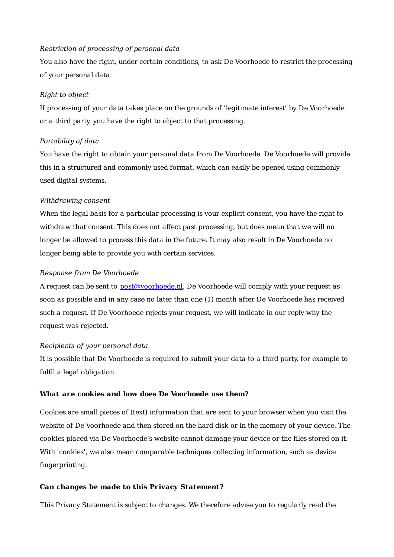# *Restriction of processing of personal data*

You also have the right, under certain conditions, to ask De Voorhoede to restrict the processing of your personal data.

### *Right to object*

If processing of your data takes place on the grounds of 'legitimate interest' by De Voorhoede or a third party, you have the right to object to that processing.

## *Portability of data*

You have the right to obtain your personal data from De Voorhoede. De Voorhoede will provide this in a structured and commonly used format, which can easily be opened using commonly used digital systems.

### *Withdrawing consent*

When the legal basis for a particular processing is your explicit consent, you have the right to withdraw that consent. This does not affect past processing, but does mean that we will no longer be allowed to process this data in the future. It may also result in De Voorhoede no longer being able to provide you with certain services.

### *Response from De Voorhoede*

A request can be sent to [post@voorhoede.nl](mailto:post@voorhoede.nl). De Voorhoede will comply with your request as soon as possible and in any case no later than one (1) month after De Voorhoede has received such a request. If De Voorhoede rejects your request, we will indicate in our reply why the request was rejected.

#### *Recipients of your personal data*

It is possible that De Voorhoede is required to submit your data to a third party, for example to fulfil a legal obligation.

## **What are cookies and how does De Voorhoede use them?**

Cookies are small pieces of (text) information that are sent to your browser when you visit the website of De Voorhoede and then stored on the hard disk or in the memory of your device. The cookies placed via De Voorhoede's website cannot damage your device or the files stored on it. With 'cookies', we also mean comparable techniques collecting information, such as device fingerprinting.

#### **Can changes be made to this Privacy Statement?**

This Privacy Statement is subject to changes. We therefore advise you to regularly read the